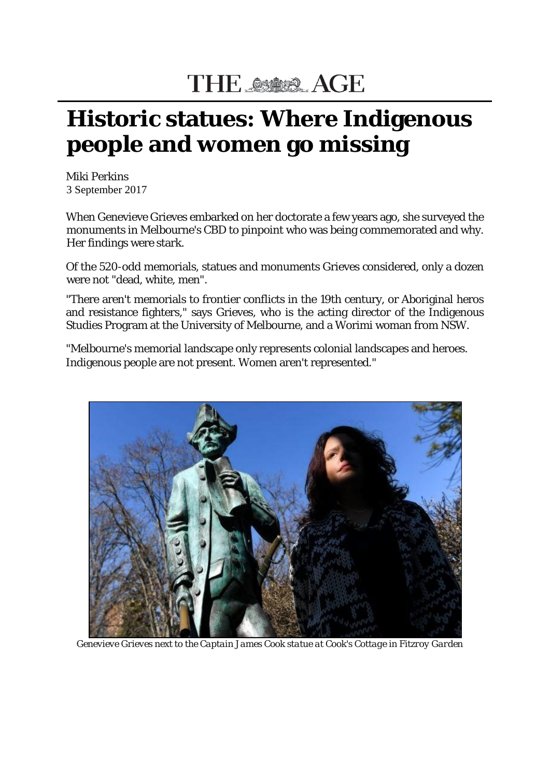## THE SER AGE

## **Historic statues: Where Indigenous people and women go missing**

Miki Perkins 3 September 2017

When Genevieve Grieves embarked on her doctorate a few years ago, she surveyed the monuments in Melbourne's CBD to pinpoint who was being commemorated and why. Her findings were stark.

Of the 520-odd memorials, statues and monuments Grieves considered, only a dozen were not "dead, white, men".

"There aren't memorials to frontier conflicts in the 19th century, or Aboriginal heros and resistance fighters," says Grieves, who is the acting director of the Indigenous Studies Program at the University of Melbourne, and a Worimi woman from NSW.

"Melbourne's memorial landscape only represents colonial landscapes and heroes. Indigenous people are not present. Women aren't represented."



*Genevieve Grieves next to the Captain James Cook statue at Cook's Cottage in Fitzroy Garden*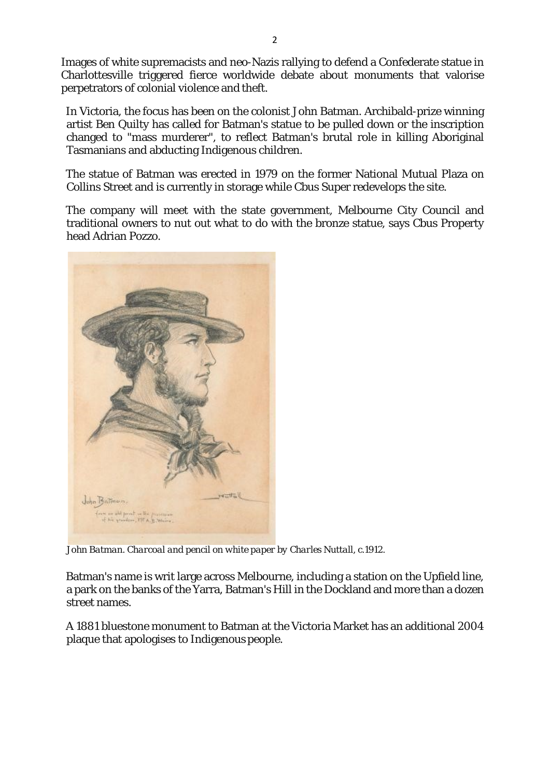Images of white supremacists and neo-Nazis rallying to defend a Confederate statue in Charlottesville triggered fierce worldwide debate about monuments that valorise perpetrators of colonial violence and theft.

In Victoria, the focus has been on the colonist John Batman. Archibald-prize winning artist Ben Quilty has called for Batman's statue to be pulled down or the inscription changed to "mass murderer", to reflect Batman's brutal role in killing Aboriginal Tasmanians and abducting Indigenous children.

The statue of Batman was erected in 1979 on the former National Mutual Plaza on Collins Street and is currently in storage while Cbus Super redevelops the site.

The company will meet with the state government, Melbourne City Council and traditional owners to nut out what to do with the bronze statue, says Cbus Property head Adrian Pozzo.



*John Batman. Charcoal and pencil on white paper by Charles Nuttall, c.1912.*

Batman's name is writ large across Melbourne, including a station on the Upfield line, a park on the banks of the Yarra, Batman's Hill in the Dockland and more than a dozen street names.

A 1881 bluestone monument to Batman at the Victoria Market has an additional 2004 plaque that apologises to Indigenous people.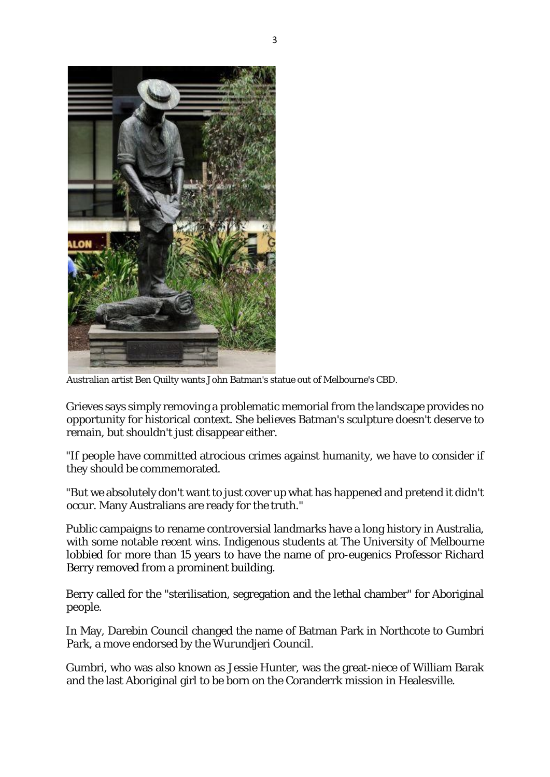

Australian artist Ben Quilty wants John Batman's statue out of Melbourne's CBD.

Grieves says simply removing a problematic memorial from the landscape provides no opportunity for historical context. She believes Batman's sculpture doesn't deserve to remain, but shouldn't just disappear either.

"If people have committed atrocious crimes against humanity, we have to consider if they should be commemorated.

"But we absolutely don't want to just cover up what has happened and pretend it didn't occur. Many Australians are ready for the truth."

Public campaigns to rename controversial landmarks have a long history in Australia, with some notable recent wins. Indigenous students at The University of Melbourne lobbied for more than 15 years to have the name of pro-eugenics Professor Richard Berry removed from a prominent building.

Berry called for the "sterilisation, segregation and the lethal chamber" for Aboriginal people.

In May, Darebin Council changed the name of Batman Park in Northcote to Gumbri Park, a move endorsed by the Wurundjeri Council.

Gumbri, who was also known as Jessie Hunter, was the great-niece of William Barak and the last Aboriginal girl to be born on the Coranderrk mission in Healesville.